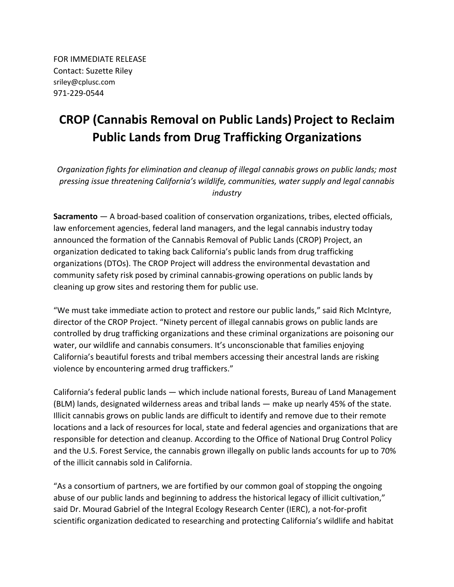FOR IMMEDIATE RELEASE Contact: Suzette Riley sriley@cplusc.com 971-229-0544

## **CROP (Cannabis Removal on Public Lands) Project to Reclaim Public Lands from Drug Trafficking Organizations**

*Organization fights for elimination and cleanup of illegal cannabis grows on public lands; most pressing issue threatening California's wildlife, communities, water supply and legal cannabis industry*

**Sacramento** — A broad-based coalition of conservation organizations, tribes, elected officials, law enforcement agencies, federal land managers, and the legal cannabis industry today announced the formation of the Cannabis Removal of Public Lands (CROP) Project, an organization dedicated to taking back California's public lands from drug trafficking organizations (DTOs). The CROP Project will address the environmental devastation and community safety risk posed by criminal cannabis-growing operations on public lands by cleaning up grow sites and restoring them for public use.

"We must take immediate action to protect and restore our public lands," said Rich McIntyre, director of the CROP Project. "Ninety percent of illegal cannabis grows on public lands are controlled by drug trafficking organizations and these criminal organizations are poisoning our water, our wildlife and cannabis consumers. It's unconscionable that families enjoying California's beautiful forests and tribal members accessing their ancestral lands are risking violence by encountering armed drug traffickers."

California's federal public lands — which include national forests, Bureau of Land Management (BLM) lands, designated wilderness areas and tribal lands — make up nearly 45% of the state. Illicit cannabis grows on public lands are difficult to identify and remove due to their remote locations and a lack of resources for local, state and federal agencies and organizations that are responsible for detection and cleanup. According to the Office of National Drug Control Policy and the U.S. Forest Service, the cannabis grown illegally on public lands accounts for up to 70% of the illicit cannabis sold in California.

"As a consortium of partners, we are fortified by our common goal of stopping the ongoing abuse of our public lands and beginning to address the historical legacy of illicit cultivation," said Dr. Mourad Gabriel of the Integral Ecology Research Center (IERC), a not-for-profit scientific organization dedicated to researching and protecting California's wildlife and habitat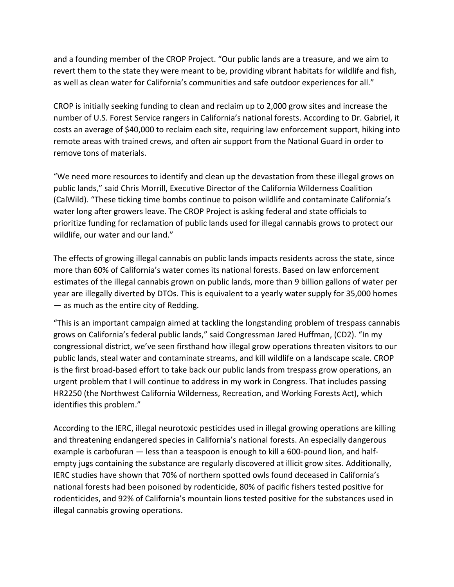and a founding member of the CROP Project. "Our public lands are a treasure, and we aim to revert them to the state they were meant to be, providing vibrant habitats for wildlife and fish, as well as clean water for California's communities and safe outdoor experiences for all."

CROP is initially seeking funding to clean and reclaim up to 2,000 grow sites and increase the number of U.S. Forest Service rangers in California's national forests. According to Dr. Gabriel, it costs an average of \$40,000 to reclaim each site, requiring law enforcement support, hiking into remote areas with trained crews, and often air support from the National Guard in order to remove tons of materials.

"We need more resources to identify and clean up the devastation from these illegal grows on public lands," said Chris Morrill, Executive Director of the California Wilderness Coalition (CalWild). "These ticking time bombs continue to poison wildlife and contaminate California's water long after growers leave. The CROP Project is asking federal and state officials to prioritize funding for reclamation of public lands used for illegal cannabis grows to protect our wildlife, our water and our land."

The effects of growing illegal cannabis on public lands impacts residents across the state, since more than 60% of California's water comes its national forests. Based on law enforcement estimates of the illegal cannabis grown on public lands, more than 9 billion gallons of water per year are illegally diverted by DTOs. This is equivalent to a yearly water supply for 35,000 homes — as much as the entire city of Redding.

"This is an important campaign aimed at tackling the longstanding problem of trespass cannabis grows on California's federal public lands," said Congressman Jared Huffman, (CD2). "In my congressional district, we've seen firsthand how illegal grow operations threaten visitors to our public lands, steal water and contaminate streams, and kill wildlife on a landscape scale. CROP is the first broad-based effort to take back our public lands from trespass grow operations, an urgent problem that I will continue to address in my work in Congress. That includes passing HR2250 (the Northwest California Wilderness, Recreation, and Working Forests Act), which identifies this problem."

According to the IERC, illegal neurotoxic pesticides used in illegal growing operations are killing and threatening endangered species in California's national forests. An especially dangerous example is carbofuran — less than a teaspoon is enough to kill a 600-pound lion, and halfempty jugs containing the substance are regularly discovered at illicit grow sites. Additionally, IERC studies have shown that 70% of northern spotted owls found deceased in California's national forests had been poisoned by rodenticide, 80% of pacific fishers tested positive for rodenticides, and 92% of California's mountain lions tested positive for the substances used in illegal cannabis growing operations.